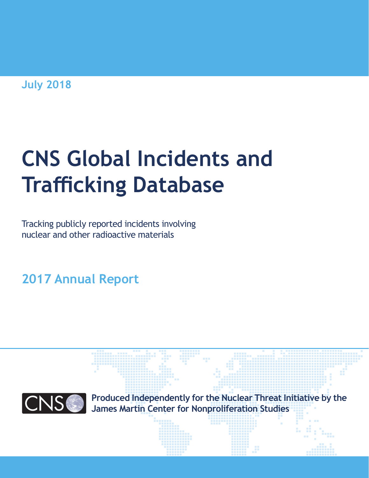**July 2018**

# **CNS Global Incidents and Trafficking Database**

Tracking publicly reported incidents involving nuclear and other radioactive materials

**2017 Annual Report**



**Produced Independently for the Nuclear Threat Initiative by the James Martin Center for Nonproliferation Studies**

*- 1 - Global Incidents and Trafficking Database*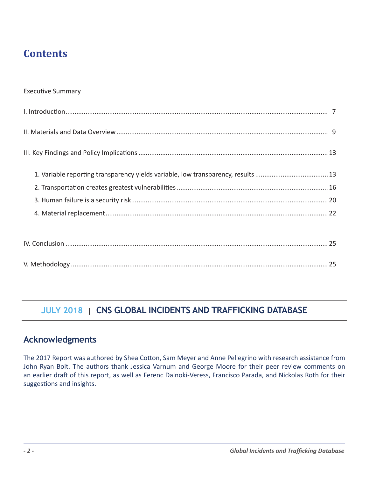# **Contents**

#### Executive Summary

IV. Conclusion ................................................................................................................................................ 25 V. Methodology ............................................................................................................................................. 25

## **JULY 2018** | CNS GLOBAL INCIDENTS AND TRAFFICKING DATABASE

## **Acknowledgments**

The 2017 Report was authored by Shea Cotton, Sam Meyer and Anne Pellegrino with research assistance from John Ryan Bolt. The authors thank Jessica Varnum and George Moore for their peer review comments on an earlier draft of this report, as well as Ferenc Dalnoki-Veress, Francisco Parada, and Nickolas Roth for their suggestions and insights.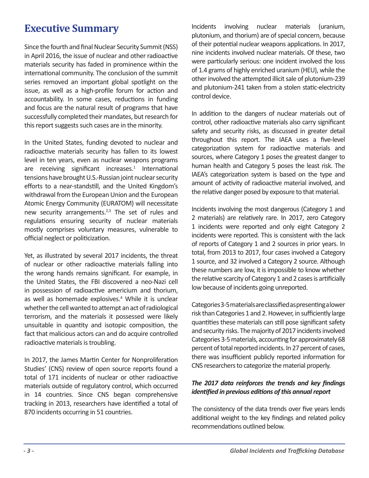# **Executive Summary**

Since the fourth and final Nuclear Security Summit (NSS) in April 2016, the issue of nuclear and other radioactive materials security has faded in prominence within the international community. The conclusion of the summit series removed an important global spotlight on the issue, as well as a high-profile forum for action and accountability. In some cases, reductions in funding and focus are the natural result of programs that have successfully completed their mandates, but research for this report suggests such cases are in the minority.

In the United States, funding devoted to nuclear and radioactive materials security has fallen to its lowest level in ten years, even as nuclear weapons programs are receiving significant increases.<sup>1</sup> International tensions have brought U.S.-Russian joint nuclear security efforts to a near-standstill, and the United Kingdom's withdrawal from the European Union and the European Atomic Energy Community (EURATOM) will necessitate new security arrangements.<sup>2,3</sup> The set of rules and regulations ensuring security of nuclear materials mostly comprises voluntary measures, vulnerable to official neglect or politicization.

Yet, as illustrated by several 2017 incidents, the threat of nuclear or other radioactive materials falling into the wrong hands remains significant. For example, in the United States, the FBI discovered a neo-Nazi cell in possession of radioactive americium and thorium, as well as homemade explosives.<sup>4</sup> While it is unclear whether the cell wanted to attempt an act of radiological terrorism, and the materials it possessed were likely unsuitable in quantity and isotopic composition, the fact that malicious actors can and do acquire controlled radioactive materials is troubling.

In 2017, the James Martin Center for Nonproliferation Studies' (CNS) review of open source reports found a total of 171 incidents of nuclear or other radioactive materials outside of regulatory control, which occurred in 14 countries. Since CNS began comprehensive tracking in 2013, researchers have identified a total of 870 incidents occurring in 51 countries.

Incidents involving nuclear materials (uranium, plutonium, and thorium) are of special concern, because of their potential nuclear weapons applications. In 2017, nine incidents involved nuclear materials. Of these, two were particularly serious: one incident involved the loss of 1.4 grams of highly enriched uranium (HEU), while the other involved the attempted illicit sale of plutonium-239 and plutonium-241 taken from a stolen static-electricity control device.

In addition to the dangers of nuclear materials out of control, other radioactive materials also carry significant safety and security risks, as discussed in greater detail throughout this report. The IAEA uses a five-level categorization system for radioactive materials and sources, where Category 1 poses the greatest danger to human health and Category 5 poses the least risk. The IAEA's categorization system is based on the type and amount of activity of radioactive material involved, and the relative danger posed by exposure to that material.

Incidents involving the most dangerous (Category 1 and 2 materials) are relatively rare. In 2017, zero Category 1 incidents were reported and only eight Category 2 incidents were reported. This is consistent with the lack of reports of Category 1 and 2 sources in prior years. In total, from 2013 to 2017, four cases involved a Category 1 source, and 32 involved a Category 2 source. Although these numbers are low, it is impossible to know whether the relative scarcity of Category 1 and 2 cases is artificially low because of incidents going unreported.

Categories 3-5 materials are classified as presenting a lower risk than Categories 1 and 2. However, in sufficiently large quantities these materials can still pose significant safety and security risks. The majority of 2017 incidents involved Categories 3-5 materials, accounting for approximately 68 percent of total reported incidents. In 27 percent of cases, there was insufficient publicly reported information for CNS researchers to categorize the material properly.

#### *The 2017 data reinforces the trends and key findings identified in previous editions of this annual report*

The consistency of the data trends over five years lends additional weight to the key findings and related policy recommendations outlined below.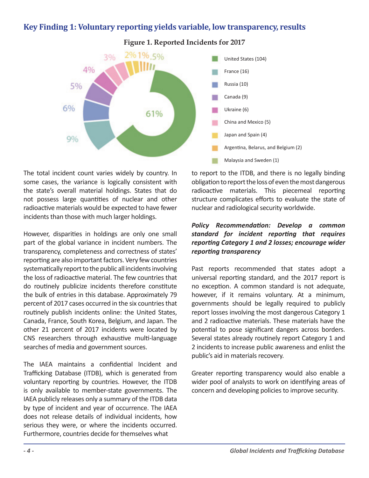## **Key Finding 1: Voluntary reporting yields variable, low transparency, results**



**Figure 1. Reported Incidents for 2017**

The total incident count varies widely by country. In some cases, the variance is logically consistent with the state's overall material holdings. States that do not possess large quantities of nuclear and other radioactive materials would be expected to have fewer incidents than those with much larger holdings.

However, disparities in holdings are only one small part of the global variance in incident numbers. The transparency, completeness and correctness of states' reporting are also important factors. Very few countries systematically report to the public all incidents involving the loss of radioactive material. The few countries that do routinely publicize incidents therefore constitute the bulk of entries in this database. Approximately 79 percent of 2017 cases occurred in the six countries that routinely publish incidents online: the United States, Canada, France, South Korea, Belgium, and Japan. The other 21 percent of 2017 incidents were located by CNS researchers through exhaustive multi-language searches of media and government sources.

The IAEA maintains a confidential Incident and Trafficking Database (ITDB), which is generated from voluntary reporting by countries. However, the ITDB is only available to member-state governments. The IAEA publicly releases only a summary of the ITDB data by type of incident and year of occurrence. The IAEA does not release details of individual incidents, how serious they were, or where the incidents occurred. Furthermore, countries decide for themselves what

to report to the ITDB, and there is no legally binding obligation to report the loss of even the most dangerous radioactive materials. This piecemeal reporting structure complicates efforts to evaluate the state of nuclear and radiological security worldwide.

#### *Policy Recommendation: Develop a common standard for incident reporting that requires reporting Category 1 and 2 losses; encourage wider reporting transparency*

Past reports recommended that states adopt a universal reporting standard, and the 2017 report is no exception. A common standard is not adequate, however, if it remains voluntary. At a minimum, governments should be legally required to publicly report losses involving the most dangerous Category 1 and 2 radioactive materials. These materials have the potential to pose significant dangers across borders. Several states already routinely report Category 1 and 2 incidents to increase public awareness and enlist the public's aid in materials recovery.

Greater reporting transparency would also enable a wider pool of analysts to work on identifying areas of concern and developing policies to improve security.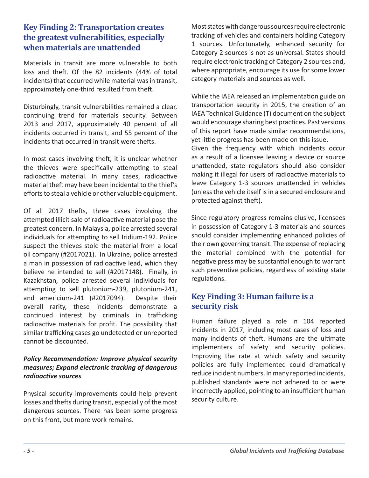## **Key Finding 2: Transportation creates the greatest vulnerabilities, especially when materials are unattended**

Materials in transit are more vulnerable to both loss and theft. Of the 82 incidents (44% of total incidents) that occurred while material was in transit, approximately one-third resulted from theft.

Disturbingly, transit vulnerabilities remained a clear, continuing trend for materials security. Between 2013 and 2017, approximately 40 percent of all incidents occurred in transit, and 55 percent of the incidents that occurred in transit were thefts.

In most cases involving theft, it is unclear whether the thieves were specifically attempting to steal radioactive material. In many cases, radioactive material theft may have been incidental to the thief's efforts to steal a vehicle or other valuable equipment.

Of all 2017 thefts, three cases involving the attempted illicit sale of radioactive material pose the greatest concern. In Malaysia, police arrested several individuals for attempting to sell Iridium-192. Police suspect the thieves stole the material from a local oil company (#2017021). In Ukraine, police arrested a man in possession of radioactive lead, which they believe he intended to sell (#2017148). Finally, in Kazakhstan, police arrested several individuals for attempting to sell plutonium-239, plutonium-241, and americium-241 (#2017094). Despite their overall rarity, these incidents demonstrate a continued interest by criminals in trafficking radioactive materials for profit. The possibility that similar trafficking cases go undetected or unreported cannot be discounted.

#### *Policy Recommendation: Improve physical security measures; Expand electronic tracking of dangerous radioactive sources*

Physical security improvements could help prevent losses and thefts during transit, especially of the most dangerous sources. There has been some progress on this front, but more work remains.

Most states with dangerous sources require electronic tracking of vehicles and containers holding Category 1 sources. Unfortunately, enhanced security for Category 2 sources is not as universal. States should require electronic tracking of Category 2 sources and, where appropriate, encourage its use for some lower category materials and sources as well.

While the IAEA released an implementation guide on transportation security in 2015, the creation of an IAEA Technical Guidance (T) document on the subject would encourage sharing best practices. Past versions of this report have made similar recommendations, yet little progress has been made on this issue.

Given the frequency with which incidents occur as a result of a licensee leaving a device or source unattended, state regulators should also consider making it illegal for users of radioactive materials to leave Category 1-3 sources unattended in vehicles (unless the vehicle itself is in a secured enclosure and protected against theft).

Since regulatory progress remains elusive, licensees in possession of Category 1-3 materials and sources should consider implementing enhanced policies of their own governing transit. The expense of replacing the material combined with the potential for negative press may be substantial enough to warrant such preventive policies, regardless of existing state regulations.

## **Key Finding 3: Human failure is a security risk**

Human failure played a role in 104 reported incidents in 2017, including most cases of loss and many incidents of theft. Humans are the ultimate implementers of safety and security policies. Improving the rate at which safety and security policies are fully implemented could dramatically reduce incident numbers. In many reported incidents, published standards were not adhered to or were incorrectly applied, pointing to an insufficient human security culture.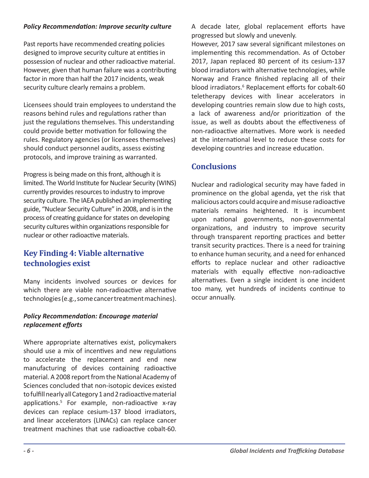### *Policy Recommendation: Improve security culture*

Past reports have recommended creating policies designed to improve security culture at entities in possession of nuclear and other radioactive material. However, given that human failure was a contributing factor in more than half the 2017 incidents, weak security culture clearly remains a problem.

Licensees should train employees to understand the reasons behind rules and regulations rather than just the regulations themselves. This understanding could provide better motivation for following the rules. Regulatory agencies (or licensees themselves) should conduct personnel audits, assess existing protocols, and improve training as warranted.

Progress is being made on this front, although it is limited. The World Institute for Nuclear Security (WINS) currently provides resources to industry to improve security culture. The IAEA published an implementing guide, "Nuclear Security Culture" in 2008, and is in the process of creating guidance for states on developing security cultures within organizations responsible for nuclear or other radioactive materials.

## **Key Finding 4: Viable alternative technologies exist**

Many incidents involved sources or devices for which there are viable non-radioactive alternative technologies (e.g., some cancer treatment machines).

## *Policy Recommendation: Encourage material replacement efforts*

Where appropriate alternatives exist, policymakers should use a mix of incentives and new regulations to accelerate the replacement and end new manufacturing of devices containing radioactive material. A 2008 report from the National Academy of Sciences concluded that non-isotopic devices existed to fulfill nearly all Category 1 and 2 radioactive material applications.<sup>5</sup> For example, non-radioactive x-ray devices can replace cesium-137 blood irradiators, and linear accelerators (LINACs) can replace cancer treatment machines that use radioactive cobalt-60.

A decade later, global replacement efforts have progressed but slowly and unevenly.

However, 2017 saw several significant milestones on implementing this recommendation. As of October 2017, Japan replaced 80 percent of its cesium-137 blood irradiators with alternative technologies, while Norway and France finished replacing all of their blood irradiators.<sup>6</sup> Replacement efforts for cobalt-60 teletherapy devices with linear accelerators in developing countries remain slow due to high costs, a lack of awareness and/or prioritization of the issue, as well as doubts about the effectiveness of non-radioactive alternatives. More work is needed at the international level to reduce these costs for developing countries and increase education.

## **Conclusions**

Nuclear and radiological security may have faded in prominence on the global agenda, yet the risk that malicious actors could acquire and misuse radioactive materials remains heightened. It is incumbent upon national governments, non-governmental organizations, and industry to improve security through transparent reporting practices and better transit security practices. There is a need for training to enhance human security, and a need for enhanced efforts to replace nuclear and other radioactive materials with equally effective non-radioactive alternatives. Even a single incident is one incident too many, yet hundreds of incidents continue to occur annually.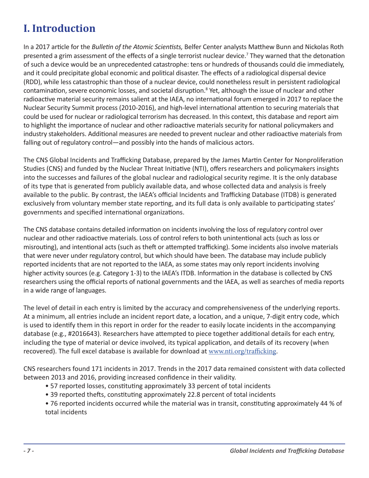# **I. Introduction**

In a 2017 article for the *Bulletin of the Atomic Scientists,* Belfer Center analysts Matthew Bunn and Nickolas Roth presented a grim assessment of the effects of a single terrorist nuclear device.<sup>7</sup> They warned that the detonation of such a device would be an unprecedented catastrophe: tens or hundreds of thousands could die immediately, and it could precipitate global economic and political disaster. The effects of a radiological dispersal device (RDD), while less catastrophic than those of a nuclear device, could nonetheless result in persistent radiological contamination, severe economic losses, and societal disruption.<sup>8</sup> Yet, although the issue of nuclear and other radioactive material security remains salient at the IAEA, no international forum emerged in 2017 to replace the Nuclear Security Summit process (2010-2016), and high-level international attention to securing materials that could be used for nuclear or radiological terrorism has decreased. In this context, this database and report aim to highlight the importance of nuclear and other radioactive materials security for national policymakers and industry stakeholders. Additional measures are needed to prevent nuclear and other radioactive materials from falling out of regulatory control—and possibly into the hands of malicious actors.

The CNS Global Incidents and Trafficking Database, prepared by the James Martin Center for Nonproliferation Studies (CNS) and funded by the Nuclear Threat Initiative (NTI), offers researchers and policymakers insights into the successes and failures of the global nuclear and radiological security regime. It is the only database of its type that is generated from publicly available data, and whose collected data and analysis is freely available to the public. By contrast, the IAEA's official Incidents and Trafficking Database (ITDB) is generated exclusively from voluntary member state reporting, and its full data is only available to participating states' governments and specified international organizations.

The CNS database contains detailed information on incidents involving the loss of regulatory control over nuclear and other radioactive materials. Loss of control refers to both unintentional acts (such as loss or misrouting), and intentional acts (such as theft or attempted trafficking). Some incidents also involve materials that were never under regulatory control, but which should have been. The database may include publicly reported incidents that are not reported to the IAEA, as some states may only report incidents involving higher activity sources (e.g. Category 1-3) to the IAEA's ITDB. Information in the database is collected by CNS researchers using the official reports of national governments and the IAEA, as well as searches of media reports in a wide range of languages.

The level of detail in each entry is limited by the accuracy and comprehensiveness of the underlying reports. At a minimum, all entries include an incident report date, a location, and a unique, 7-digit entry code, which is used to identify them in this report in order for the reader to easily locate incidents in the accompanying database (e.g., #2016643). Researchers have attempted to piece together additional details for each entry, including the type of material or device involved, its typical application, and details of its recovery (when recovered). The full excel database is available for download at www.nti.org/trafficking.

CNS researchers found 171 incidents in 2017. Trends in the 2017 data remained consistent with data collected between 2013 and 2016, providing increased confidence in their validity.

- 57 reported losses, constituting approximately 33 percent of total incidents
- 39 reported thefts, constituting approximately 22.8 percent of total incidents
- 76 reported incidents occurred while the material was in transit, constituting approximately 44 % of total incidents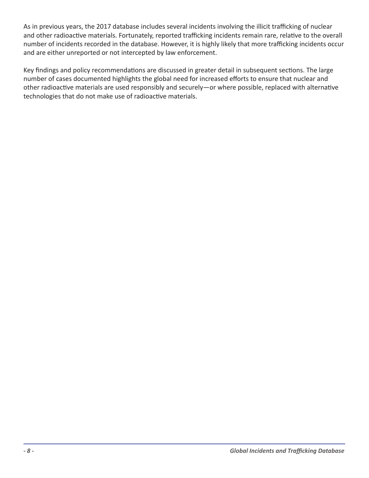As in previous years, the 2017 database includes several incidents involving the illicit trafficking of nuclear and other radioactive materials. Fortunately, reported trafficking incidents remain rare, relative to the overall number of incidents recorded in the database. However, it is highly likely that more trafficking incidents occur and are either unreported or not intercepted by law enforcement.

Key findings and policy recommendations are discussed in greater detail in subsequent sections. The large number of cases documented highlights the global need for increased efforts to ensure that nuclear and other radioactive materials are used responsibly and securely—or where possible, replaced with alternative technologies that do not make use of radioactive materials.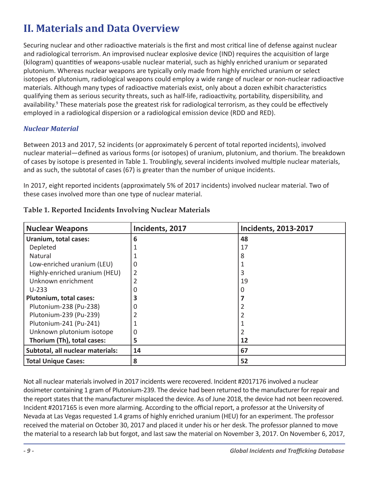# **II. Materials and Data Overview**

Securing nuclear and other radioactive materials is the first and most critical line of defense against nuclear and radiological terrorism. An improvised nuclear explosive device (IND) requires the acquisition of large (kilogram) quantities of weapons-usable nuclear material, such as highly enriched uranium or separated plutonium. Whereas nuclear weapons are typically only made from highly enriched uranium or select isotopes of plutonium, radiological weapons could employ a wide range of nuclear or non-nuclear radioactive materials. Although many types of radioactive materials exist, only about a dozen exhibit characteristics qualifying them as serious security threats, such as half-life, radioactivity, portability, dispersibility, and availability.<sup>9</sup> These materials pose the greatest risk for radiological terrorism, as they could be effectively employed in a radiological dispersion or a radiological emission device (RDD and RED).

## *Nuclear Material*

Between 2013 and 2017, 52 incidents (or approximately 6 percent of total reported incidents), involved nuclear material—defined as various forms (or isotopes) of uranium, plutonium, and thorium. The breakdown of cases by isotope is presented in Table 1. Troublingly, several incidents involved multiple nuclear materials, and as such, the subtotal of cases (67) is greater than the number of unique incidents.

In 2017, eight reported incidents (approximately 5% of 2017 incidents) involved nuclear material. Two of these cases involved more than one type of nuclear material.

| <b>Nuclear Weapons</b>           | Incidents, 2017 | <b>Incidents, 2013-2017</b> |
|----------------------------------|-----------------|-----------------------------|
| Uranium, total cases:            | 6               | 48                          |
| Depleted                         |                 | 17                          |
| Natural                          |                 |                             |
| Low-enriched uranium (LEU)       | 0               |                             |
| Highly-enriched uranium (HEU)    | $\overline{2}$  |                             |
| Unknown enrichment               | 2               | 19                          |
| $U-233$                          | O               |                             |
| <b>Plutonium, total cases:</b>   | 3               |                             |
| Plutonium-238 (Pu-238)           | 0               |                             |
| Plutonium-239 (Pu-239)           |                 |                             |
| Plutonium-241 (Pu-241)           |                 |                             |
| Unknown plutonium isotope        | 0               |                             |
| Thorium (Th), total cases:       | 5               | 12                          |
| Subtotal, all nuclear materials: | 14              | 67                          |
| <b>Total Unique Cases:</b>       | 8               | 52                          |

## **Table 1. Reported Incidents Involving Nuclear Materials**

Not all nuclear materials involved in 2017 incidents were recovered. Incident #2017176 involved a nuclear dosimeter containing 1 gram of Plutonium-239. The device had been returned to the manufacturer for repair and the report states that the manufacturer misplaced the device. As of June 2018, the device had not been recovered. Incident #2017165 is even more alarming. According to the official report, a professor at the University of Nevada at Las Vegas requested 1.4 grams of highly enriched uranium (HEU) for an experiment. The professor received the material on October 30, 2017 and placed it under his or her desk. The professor planned to move the material to a research lab but forgot, and last saw the material on November 3, 2017. On November 6, 2017,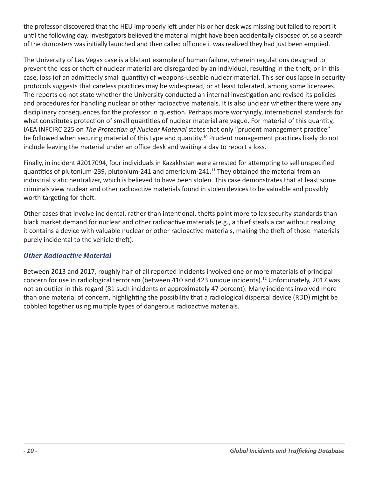the professor discovered that the HEU improperly left under his or her desk was missing but failed to report it until the following day. Investigators believed the material might have been accidentally disposed of, so a search of the dumpsters was initially launched and then called off once it was realized they had just been emptied.

The University of Las Vegas case is a blatant example of human failure, wherein regulations designed to prevent the loss or theft of nuclear material are disregarded by an individual, resulting in the theft, or in this case, loss (of an admittedly small quantity) of weapons-useable nuclear material. This serious lapse in security protocols suggests that careless practices may be widespread, or at least tolerated, among some licensees. The reports do not state whether the University conducted an internal investigation and revised its policies and procedures for handling nuclear or other radioactive materials. It is also unclear whether there were any disciplinary consequences for the professor in question. Perhaps more worryingly, international standards for what constitutes protection of small quantities of nuclear material are vague. For material of this quantity, IAEA INFCIRC 225 on *The Protection of Nuclear Material* states that only "prudent management practice" be followed when securing material of this type and quantity.<sup>10</sup> Prudent management practices likely do not include leaving the material under an office desk and waiting a day to report a loss.

Finally, in incident #2017094, four individuals in Kazakhstan were arrested for attempting to sell unspecified quantities of plutonium-239, plutonium-241 and americium-241.<sup>11</sup> They obtained the material from an industrial static neutralizer, which is believed to have been stolen. This case demonstrates that at least some criminals view nuclear and other radioactive materials found in stolen devices to be valuable and possibly worth targeting for theft.

Other cases that involve incidental, rather than intentional, thefts point more to lax security standards than black market demand for nuclear and other radioactive materials (e.g., a thief steals a car without realizing it contains a device with valuable nuclear or other radioactive materials, making the theft of those materials purely incidental to the vehicle theft).

## *Other Radioactive Material*

Between 2013 and 2017, roughly half of all reported incidents involved one or more materials of principal concern for use in radiological terrorism (between 410 and 423 unique incidents).<sup>12</sup> Unfortunately, 2017 was not an outlier in this regard (81 such incidents or approximately 47 percent). Many incidents involved more than one material of concern, highlighting the possibility that a radiological dispersal device (RDD) might be cobbled together using multiple types of dangerous radioactive materials.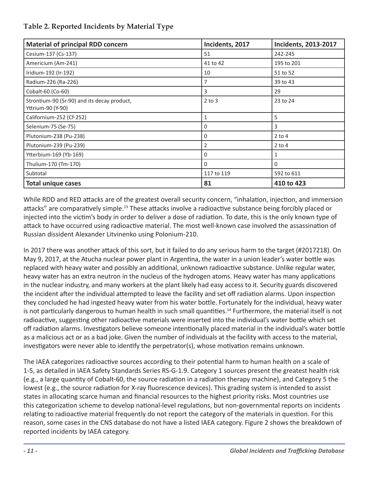## **Table 2. Reported Incidents by Material Type**

| <b>Material of principal RDD concern</b>                         | Incidents, 2017 | <b>Incidents, 2013-2017</b> |
|------------------------------------------------------------------|-----------------|-----------------------------|
| Cesium-137 (Cs-137)                                              | 51              | 242-245                     |
| Americium (Am-241)                                               | 41 to 42        | 195 to 201                  |
| Iridium-192 (Ir-192)                                             | 10              | 51 to 52                    |
| Radium-226 (Ra-226)                                              | 7               | 39 to 43                    |
| Cobalt-60 (Co-60)                                                | 3               | 29                          |
| Strontium-90 (Sr-90) and its decay product,<br>Yttrium-90 (Y-90) | $2$ to $3$      | 23 to 24                    |
| Californium-252 (Cf-252)                                         | $\mathbf{1}$    | 5                           |
| Selenium-75 (Se-75)                                              | $\Omega$        | 3                           |
| Plutonium-238 (Pu-238)                                           | 0               | $2$ to 4                    |
| Plutonium-239 (Pu-239)                                           | 2               | $2$ to $4$                  |
| Ytterbium-169 (Yb-169)                                           | $\Omega$        | 1                           |
| Thulium-170 (Tm-170)                                             | $\Omega$        | 0                           |
| Subtotal                                                         | 117 to 119      | 592 to 611                  |
| <b>Total unique cases</b>                                        | 81              | 410 to 423                  |

While RDD and RED attacks are of the greatest overall security concern, "inhalation, injection, and immersion attacks" are comparatively simple.<sup>13</sup> These attacks involve a radioactive substance being forcibly placed or injected into the victim's body in order to deliver a dose of radiation. To date, this is the only known type of attack to have occurred using radioactive material. The most well-known case involved the assassination of Russian dissident Alexander Litvinenko using Polonium-210.

In 2017 there was another attack of this sort, but it failed to do any serious harm to the target (#2017218). On May 9, 2017, at the Atucha nuclear power plant in Argentina, the water in a union leader's water bottle was replaced with heavy water and possibly an additional, unknown radioactive substance. Unlike regular water, heavy water has an extra neutron in the nucleus of the hydrogen atoms. Heavy water has many applications in the nuclear industry, and many workers at the plant likely had easy access to it. Security guards discovered the incident after the individual attempted to leave the facility and set off radiation alarms. Upon inspection they concluded he had ingested heavy water from his water bottle. Fortunately for the individual, heavy water is not particularly dangerous to human health in such small quantities.<sup>14</sup> Furthermore, the material itself is not radioactive, suggesting other radioactive materials were inserted into the individual's water bottle which set off radiation alarms. Investigators believe someone intentionally placed material in the individual's water bottle as a malicious act or as a bad joke. Given the number of individuals at the facility with access to the material, investigators were never able to identify the perpetrator(s), whose motivation remains unknown.

The IAEA categorizes radioactive sources according to their potential harm to human health on a scale of 1-5, as detailed in IAEA Safety Standards Series RS-G-1.9. Category 1 sources present the greatest health risk (e.g., a large quantity of Cobalt-60, the source radiation in a radiation therapy machine), and Category 5 the lowest (e.g., the source radiation for X-ray fluorescence devices). This grading system is intended to assist states in allocating scarce human and financial resources to the highest priority risks. Most countries use this categorization scheme to develop national-level regulations, but non-governmental reports on incidents relating to radioactive material frequently do not report the category of the materials in question. For this reason, some cases in the CNS database do not have a listed IAEA category. Figure 2 shows the breakdown of reported incidents by IAEA category.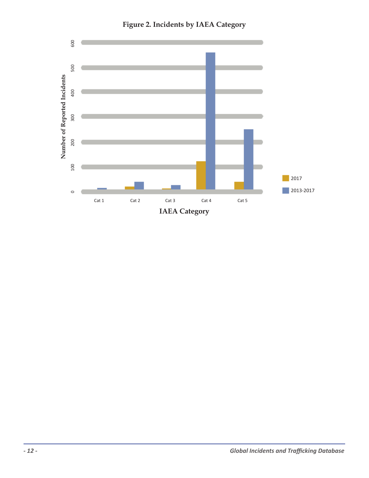

**Figure 2. Incidents by IAEA Category**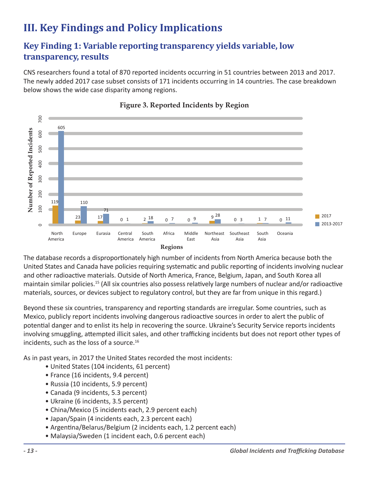# **III. Key Findings and Policy Implications**

## **Key Finding 1: Variable reporting transparency yields variable, low transparency, results**

CNS researchers found a total of 870 reported incidents occurring in 51 countries between 2013 and 2017. The newly added 2017 case subset consists of 171 incidents occurring in 14 countries. The case breakdown below shows the wide case disparity among regions.



### **Figure 3. Reported Incidents by Region**

The database records a disproportionately high number of incidents from North America because both the United States and Canada have policies requiring systematic and public reporting of incidents involving nuclear and other radioactive materials. Outside of North America, France, Belgium, Japan, and South Korea all maintain similar policies.<sup>15</sup> (All six countries also possess relatively large numbers of nuclear and/or radioactive materials, sources, or devices subject to regulatory control, but they are far from unique in this regard.)

Beyond these six countries, transparency and reporting standards are irregular. Some countries, such as Mexico, publicly report incidents involving dangerous radioactive sources in order to alert the public of potential danger and to enlist its help in recovering the source. Ukraine's Security Service reports incidents involving smuggling, attempted illicit sales, and other trafficking incidents but does not report other types of incidents, such as the loss of a source.<sup>16</sup>

As in past years, in 2017 the United States recorded the most incidents:

- United States (104 incidents, 61 percent)
- France (16 incidents, 9.4 percent)
- Russia (10 incidents, 5.9 percent)
- Canada (9 incidents, 5.3 percent)
- Ukraine (6 incidents, 3.5 percent)
- China/Mexico (5 incidents each, 2.9 percent each)
- Japan/Spain (4 incidents each, 2.3 percent each)
- Argentina/Belarus/Belgium (2 incidents each, 1.2 percent each)
- Malaysia/Sweden (1 incident each, 0.6 percent each)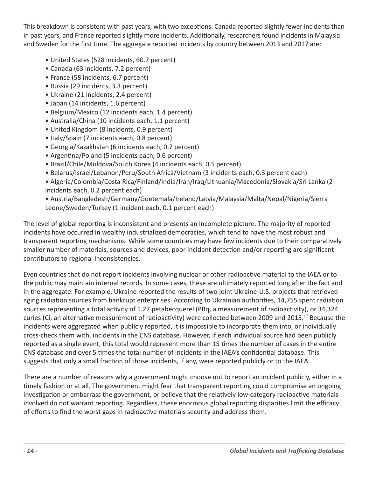This breakdown is consistent with past years, with two exceptions. Canada reported slightly fewer incidents than in past years, and France reported slightly more incidents. Additionally, researchers found incidents in Malaysia and Sweden for the first time. The aggregate reported incidents by country between 2013 and 2017 are:

- United States (528 incidents, 60.7 percent)
- Canada (63 incidents, 7.2 percent)
- France (58 incidents, 6.7 percent)
- Russia (29 incidents, 3.3 percent)
- Ukraine (21 incidents, 2.4 percent)
- Japan (14 incidents, 1.6 percent)
- Belgium/Mexico (12 incidents each, 1.4 percent)
- Australia/China (10 incidents each, 1.1 percent)
- United Kingdom (8 incidents, 0.9 percent)
- Italy/Spain (7 incidents each, 0.8 percent)
- Georgia/Kazakhstan (6 incidents each, 0.7 percent)
- Argentina/Poland (5 incidents each, 0.6 percent)
- Brazil/Chile/Moldova/South Korea (4 incidents each, 0.5 percent)
- Belarus/Israel/Lebanon/Peru/South Africa/Vietnam (3 incidents each, 0.3 percent each)
- Algeria/Colombia/Costa Rica/Finland/India/Iran/Iraq/Lithuania/Macedonia/Slovakia/Sri Lanka (2 incidents each, 0.2 percent each)
- Austria/Bangledesh/Germany/Guetemala/Ireland/Latvia/Malaysia/Malta/Nepal/Nigeria/Sierra Leone/Sweden/Turkey (1 incident each, 0.1 percent each)

The level of global reporting is inconsistent and presents an incomplete picture. The majority of reported incidents have occurred in wealthy industrialized democracies, which tend to have the most robust and transparent reporting mechanisms. While some countries may have few incidents due to their comparatively smaller number of materials, sources and devices, poor incident detection and/or reporting are significant contributors to regional inconsistencies.

Even countries that do not report incidents involving nuclear or other radioactive material to the IAEA or to the public may maintain internal records. In some cases, these are ultimately reported long after the fact and in the aggregate. For example, Ukraine reported the results of two joint Ukraine-U.S. projects that retrieved aging radiation sources from bankrupt enterprises. According to Ukrainian authorities, 14,755 spent radiation sources representing a total activity of 1.27 petabecquerel (PBq, a measurement of radioactivity), or 34,324 curies (Ci, an alternative measurement of radioactivity) were collected between 2009 and 2015.17 Because the incidents were aggregated when publicly reported, it is impossible to incorporate them into, or individually cross-check them with, incidents in the CNS database. However, if each individual source had been publicly reported as a single event, this total would represent more than 15 times the number of cases in the entire CNS database and over 5 times the total number of incidents in the IAEA's confidential database. This suggests that only a small fraction of those incidents, if any, were reported publicly or to the IAEA.

There are a number of reasons why a government might choose not to report an incident publicly, either in a timely fashion or at all. The government might fear that transparent reporting could compromise an ongoing investigation or embarrass the government, or believe that the relatively low-category radioactive materials involved do not warrant reporting. Regardless, these enormous global reporting disparities limit the efficacy of efforts to find the worst gaps in radioactive materials security and address them.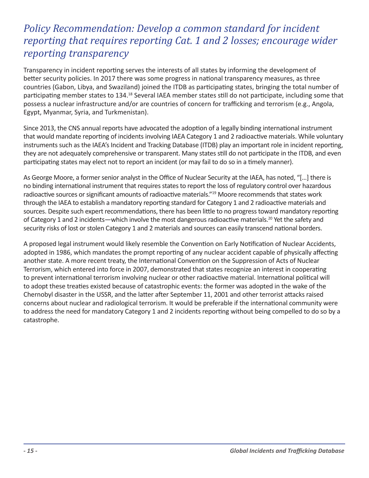# *Policy Recommendation: Develop a common standard for incident reporting that requires reporting Cat. 1 and 2 losses; encourage wider reporting transparency*

Transparency in incident reporting serves the interests of all states by informing the development of better security policies. In 2017 there was some progress in national transparency measures, as three countries (Gabon, Libya, and Swaziland) joined the ITDB as participating states, bringing the total number of participating member states to 134.<sup>18</sup> Several IAEA member states still do not participate, including some that possess a nuclear infrastructure and/or are countries of concern for trafficking and terrorism (e.g., Angola, Egypt, Myanmar, Syria, and Turkmenistan).

Since 2013, the CNS annual reports have advocated the adoption of a legally binding international instrument that would mandate reporting of incidents involving IAEA Category 1 and 2 radioactive materials. While voluntary instruments such as the IAEA's Incident and Tracking Database (ITDB) play an important role in incident reporting, they are not adequately comprehensive or transparent. Many states still do not participate in the ITDB, and even participating states may elect not to report an incident (or may fail to do so in a timely manner).

As George Moore, a former senior analyst in the Office of Nuclear Security at the IAEA, has noted, "[…] there is no binding international instrument that requires states to report the loss of regulatory control over hazardous radioactive sources or significant amounts of radioactive materials."<sup>19</sup> Moore recommends that states work through the IAEA to establish a mandatory reporting standard for Category 1 and 2 radioactive materials and sources. Despite such expert recommendations, there has been little to no progress toward mandatory reporting of Category 1 and 2 incidents—which involve the most dangerous radioactive materials.<sup>20</sup> Yet the safety and security risks of lost or stolen Category 1 and 2 materials and sources can easily transcend national borders.

A proposed legal instrument would likely resemble the Convention on Early Notification of Nuclear Accidents, adopted in 1986, which mandates the prompt reporting of any nuclear accident capable of physically affecting another state. A more recent treaty, the International Convention on the Suppression of Acts of Nuclear Terrorism, which entered into force in 2007, demonstrated that states recognize an interest in cooperating to prevent international terrorism involving nuclear or other radioactive material. International political will to adopt these treaties existed because of catastrophic events: the former was adopted in the wake of the Chernobyl disaster in the USSR, and the latter after September 11, 2001 and other terrorist attacks raised concerns about nuclear and radiological terrorism. It would be preferable if the international community were to address the need for mandatory Category 1 and 2 incidents reporting without being compelled to do so by a catastrophe.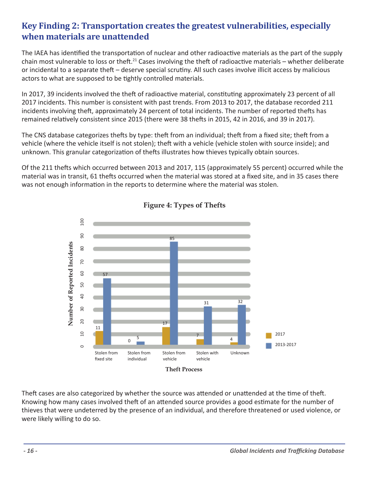## **Key Finding 2: Transportation creates the greatest vulnerabilities, especially when materials are unattended**

The IAEA has identified the transportation of nuclear and other radioactive materials as the part of the supply chain most vulnerable to loss or theft.<sup>21</sup> Cases involving the theft of radioactive materials – whether deliberate or incidental to a separate theft – deserve special scrutiny. All such cases involve illicit access by malicious actors to what are supposed to be tightly controlled materials.

In 2017, 39 incidents involved the theft of radioactive material, constituting approximately 23 percent of all 2017 incidents. This number is consistent with past trends. From 2013 to 2017, the database recorded 211 incidents involving theft, approximately 24 percent of total incidents. The number of reported thefts has remained relatively consistent since 2015 (there were 38 thefts in 2015, 42 in 2016, and 39 in 2017).

The CNS database categorizes thefts by type: theft from an individual; theft from a fixed site; theft from a vehicle (where the vehicle itself is not stolen); theft with a vehicle (vehicle stolen with source inside); and unknown. This granular categorization of thefts illustrates how thieves typically obtain sources.

Of the 211 thefts which occurred between 2013 and 2017, 115 (approximately 55 percent) occurred while the material was in transit, 61 thefts occurred when the material was stored at a fixed site, and in 35 cases there was not enough information in the reports to determine where the material was stolen.



**Figure 4: Types of Thefts**

Theft cases are also categorized by whether the source was attended or unattended at the time of theft. Knowing how many cases involved theft of an attended source provides a good estimate for the number of thieves that were undeterred by the presence of an individual, and therefore threatened or used violence, or were likely willing to do so.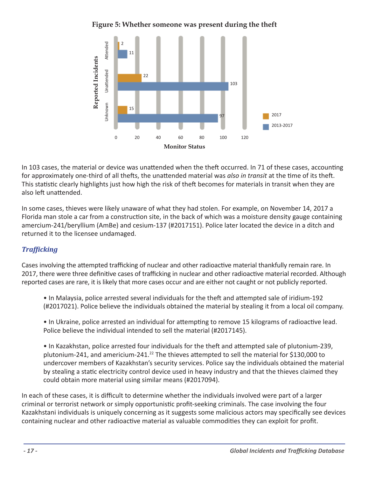



In 103 cases, the material or device was unattended when the theft occurred. In 71 of these cases, accounting for approximately one-third of all thefts, the unattended material was *also in transit* at the time of its theft. This statistic clearly highlights just how high the risk of theft becomes for materials in transit when they are also left unattended.

In some cases, thieves were likely unaware of what they had stolen. For example, on November 14, 2017 a Florida man stole a car from a construction site, in the back of which was a moisture density gauge containing amercium-241/beryllium (AmBe) and cesium-137 (#2017151). Police later located the device in a ditch and returned it to the licensee undamaged.

## *Trafficking*

Cases involving the attempted trafficking of nuclear and other radioactive material thankfully remain rare. In 2017, there were three definitive cases of trafficking in nuclear and other radioactive material recorded. Although reported cases are rare, it is likely that more cases occur and are either not caught or not publicly reported.

• In Malaysia, police arrested several individuals for the theft and attempted sale of iridium-192 (#2017021). Police believe the individuals obtained the material by stealing it from a local oil company.

• In Ukraine, police arrested an individual for attempting to remove 15 kilograms of radioactive lead. Police believe the individual intended to sell the material (#2017145).

• In Kazakhstan, police arrested four individuals for the theft and attempted sale of plutonium-239, plutonium-241, and americium-241.<sup>22</sup> The thieves attempted to sell the material for \$130,000 to undercover members of Kazakhstan's security services. Police say the individuals obtained the material by stealing a static electricity control device used in heavy industry and that the thieves claimed they could obtain more material using similar means (#2017094).

In each of these cases, it is difficult to determine whether the individuals involved were part of a larger criminal or terrorist network or simply opportunistic profit-seeking criminals. The case involving the four Kazakhstani individuals is uniquely concerning as it suggests some malicious actors may specifically see devices containing nuclear and other radioactive material as valuable commodities they can exploit for profit.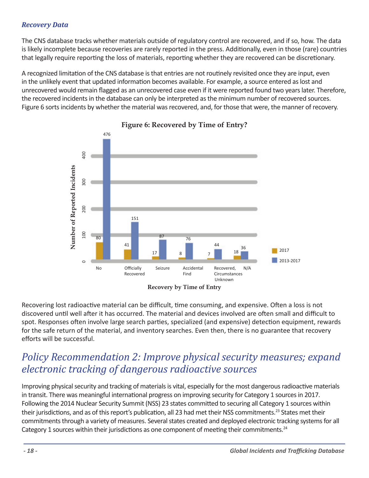### *Recovery Data*

The CNS database tracks whether materials outside of regulatory control are recovered, and if so, how. The data is likely incomplete because recoveries are rarely reported in the press. Additionally, even in those (rare) countries that legally require reporting the loss of materials, reporting whether they are recovered can be discretionary.

A recognized limitation of the CNS database is that entries are not routinely revisited once they are input, even in the unlikely event that updated information becomes available. For example, a source entered as lost and unrecovered would remain flagged as an unrecovered case even if it were reported found two years later. Therefore, the recovered incidents in the database can only be interpreted as the minimum number of recovered sources. Figure 6 sorts incidents by whether the material was recovered, and, for those that were, the manner of recovery.



## **Figure 6: Recovered by Time of Entry?**

Recovering lost radioactive material can be difficult, time consuming, and expensive. Often a loss is not discovered until well after it has occurred. The material and devices involved are often small and difficult to spot. Responses often involve large search parties, specialized (and expensive) detection equipment, rewards for the safe return of the material, and inventory searches. Even then, there is no guarantee that recovery efforts will be successful.

# *Policy Recommendation 2: Improve physical security measures; expand electronic tracking of dangerous radioactive sources*

Improving physical security and tracking of materials is vital, especially for the most dangerous radioactive materials in transit. There was meaningful international progress on improving security for Category 1 sources in 2017. Following the 2014 Nuclear Security Summit (NSS) 23 states committed to securing all Category 1 sources within their jurisdictions, and as of this report's publication, all 23 had met their NSS commitments.<sup>23</sup> States met their commitments through a variety of measures. Several states created and deployed electronic tracking systems for all Category 1 sources within their jurisdictions as one component of meeting their commitments.<sup>24</sup>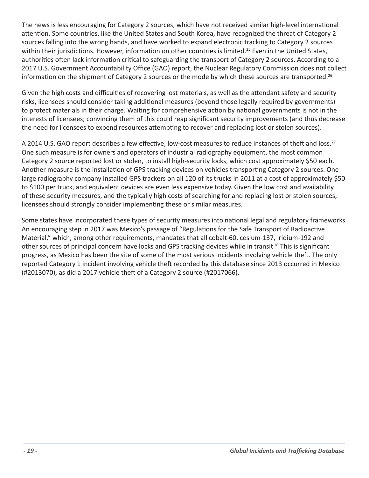The news is less encouraging for Category 2 sources, which have not received similar high-level international attention. Some countries, like the United States and South Korea, have recognized the threat of Category 2 sources falling into the wrong hands, and have worked to expand electronic tracking to Category 2 sources within their jurisdictions. However, information on other countries is limited.<sup>25</sup> Even in the United States, authorities often lack information critical to safeguarding the transport of Category 2 sources. According to a 2017 U.S. Government Accountability Office (GAO) report, the Nuclear Regulatory Commission does not collect information on the shipment of Category 2 sources or the mode by which these sources are transported.<sup>26</sup>

Given the high costs and difficulties of recovering lost materials, as well as the attendant safety and security risks, licensees should consider taking additional measures (beyond those legally required by governments) to protect materials in their charge. Waiting for comprehensive action by national governments is not in the interests of licensees; convincing them of this could reap significant security improvements (and thus decrease the need for licensees to expend resources attempting to recover and replacing lost or stolen sources).

A 2014 U.S. GAO report describes a few effective, low-cost measures to reduce instances of theft and loss.<sup>27</sup> One such measure is for owners and operators of industrial radiography equipment, the most common Category 2 source reported lost or stolen, to install high-security locks, which cost approximately \$50 each. Another measure is the installation of GPS tracking devices on vehicles transporting Category 2 sources. One large radiography company installed GPS trackers on all 120 of its trucks in 2011 at a cost of approximately \$50 to \$100 per truck, and equivalent devices are even less expensive today. Given the low cost and availability of these security measures, and the typically high costs of searching for and replacing lost or stolen sources, licensees should strongly consider implementing these or similar measures.

Some states have incorporated these types of security measures into national legal and regulatory frameworks. An encouraging step in 2017 was Mexico's passage of "Regulations for the Safe Transport of Radioactive Material," which, among other requirements, mandates that all cobalt-60, cesium-137, iridium-192 and other sources of principal concern have locks and GPS tracking devices while in transit<sup>28</sup> This is significant progress, as Mexico has been the site of some of the most serious incidents involving vehicle theft. The only reported Category 1 incident involving vehicle theft recorded by this database since 2013 occurred in Mexico (#2013070), as did a 2017 vehicle theft of a Category 2 source (#2017066).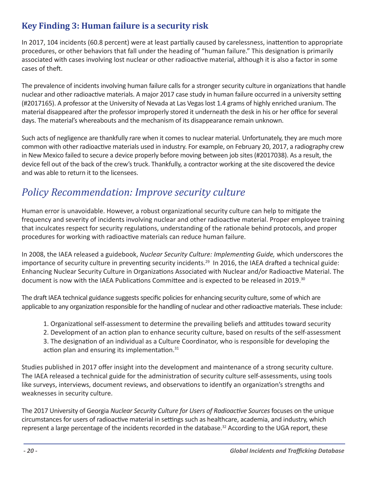## **Key Finding 3: Human failure is a security risk**

In 2017, 104 incidents (60.8 percent) were at least partially caused by carelessness, inattention to appropriate procedures, or other behaviors that fall under the heading of "human failure." This designation is primarily associated with cases involving lost nuclear or other radioactive material, although it is also a factor in some cases of theft.

The prevalence of incidents involving human failure calls for a stronger security culture in organizations that handle nuclear and other radioactive materials. A major 2017 case study in human failure occurred in a university setting (#2017165). A professor at the University of Nevada at Las Vegas lost 1.4 grams of highly enriched uranium. The material disappeared after the professor improperly stored it underneath the desk in his or her office for several days. The material's whereabouts and the mechanism of its disappearance remain unknown.

Such acts of negligence are thankfully rare when it comes to nuclear material. Unfortunately, they are much more common with other radioactive materials used in industry. For example, on February 20, 2017, a radiography crew in New Mexico failed to secure a device properly before moving between job sites (#2017038). As a result, the device fell out of the back of the crew's truck. Thankfully, a contractor working at the site discovered the device and was able to return it to the licensees.

# *Policy Recommendation: Improve security culture*

Human error is unavoidable. However, a robust organizational security culture can help to mitigate the frequency and severity of incidents involving nuclear and other radioactive material. Proper employee training that inculcates respect for security regulations, understanding of the rationale behind protocols, and proper procedures for working with radioactive materials can reduce human failure.

In 2008, the IAEA released a guidebook, *Nuclear Security Culture: Implementing Guide,* which underscores the importance of security culture in preventing security incidents.29 In 2016, the IAEA drafted a technical guide: Enhancing Nuclear Security Culture in Organizations Associated with Nuclear and/or Radioactive Material. The document is now with the IAEA Publications Committee and is expected to be released in 2019.<sup>30</sup>

The draft IAEA technical guidance suggests specific policies for enhancing security culture, some of which are applicable to any organization responsible for the handling of nuclear and other radioactive materials. These include:

- 1. Organizational self-assessment to determine the prevailing beliefs and attitudes toward security
- 2. Development of an action plan to enhance security culture, based on results of the self-assessment

3. The designation of an individual as a Culture Coordinator, who is responsible for developing the action plan and ensuring its implementation.<sup>31</sup>

Studies published in 2017 offer insight into the development and maintenance of a strong security culture. The IAEA released a technical guide for the administration of security culture self-assessments, using tools like surveys, interviews, document reviews, and observations to identify an organization's strengths and weaknesses in security culture.

The 2017 University of Georgia *Nuclear Security Culture for Users of Radioactive Sources* focuses on the unique circumstances for users of radioactive material in settings such as healthcare, academia, and industry, which represent a large percentage of the incidents recorded in the database.<sup>32</sup> According to the UGA report, these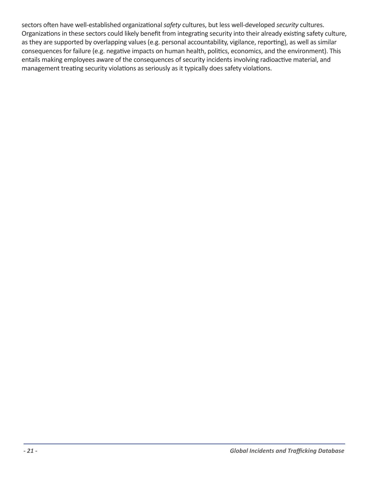sectors often have well-established organizational *safety* cultures, but less well-developed *security* cultures. Organizations in these sectors could likely benefit from integrating security into their already existing safety culture, as they are supported by overlapping values (e.g. personal accountability, vigilance, reporting), as well as similar consequences for failure (e.g. negative impacts on human health, politics, economics, and the environment). This entails making employees aware of the consequences of security incidents involving radioactive material, and management treating security violations as seriously as it typically does safety violations.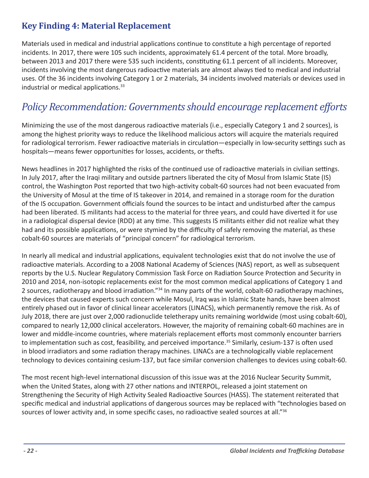## **Key Finding 4: Material Replacement**

Materials used in medical and industrial applications continue to constitute a high percentage of reported incidents. In 2017, there were 105 such incidents, approximately 61.4 percent of the total. More broadly, between 2013 and 2017 there were 535 such incidents, constituting 61.1 percent of all incidents. Moreover, incidents involving the most dangerous radioactive materials are almost always tied to medical and industrial uses. Of the 36 incidents involving Category 1 or 2 materials, 34 incidents involved materials or devices used in industrial or medical applications.<sup>33</sup>

# *Policy Recommendation: Governments should encourage replacement efforts*

Minimizing the use of the most dangerous radioactive materials (i.e., especially Category 1 and 2 sources), is among the highest priority ways to reduce the likelihood malicious actors will acquire the materials required for radiological terrorism. Fewer radioactive materials in circulation—especially in low-security settings such as hospitals—means fewer opportunities for losses, accidents, or thefts.

News headlines in 2017 highlighted the risks of the continued use of radioactive materials in civilian settings. In July 2017, after the Iraqi military and outside partners liberated the city of Mosul from Islamic State (IS) control, the Washington Post reported that two high-activity cobalt-60 sources had not been evacuated from the University of Mosul at the time of IS takeover in 2014, and remained in a storage room for the duration of the IS occupation. Government officials found the sources to be intact and undisturbed after the campus had been liberated. IS militants had access to the material for three years, and could have diverted it for use in a radiological dispersal device (RDD) at any time. This suggests IS militants either did not realize what they had and its possible applications, or were stymied by the difficulty of safely removing the material, as these cobalt-60 sources are materials of "principal concern" for radiological terrorism.

In nearly all medical and industrial applications, equivalent technologies exist that do not involve the use of radioactive materials. According to a 2008 National Academy of Sciences (NAS) report, as well as subsequent reports by the U.S. Nuclear Regulatory Commission Task Force on Radiation Source Protection and Security in 2010 and 2014, non-isotopic replacements exist for the most common medical applications of Category 1 and 2 sources, radiotherapy and blood irradiation."<sup>34</sup> In many parts of the world, cobalt-60 radiotherapy machines, the devices that caused experts such concern while Mosul, Iraq was in Islamic State hands, have been almost entirely phased out in favor of clinical linear accelerators (LINACS), which permanently remove the risk. As of July 2018, there are just over 2,000 radionuclide teletherapy units remaining worldwide (most using cobalt-60), compared to nearly 12,000 clinical accelerators. However, the majority of remaining cobalt-60 machines are in lower and middle-income countries, where materials replacement efforts most commonly encounter barriers to implementation such as cost, feasibility, and perceived importance.<sup>35</sup> Similarly, cesium-137 is often used in blood irradiators and some radiation therapy machines. LINACs are a technologically viable replacement technology to devices containing cesium-137, but face similar conversion challenges to devices using cobalt-60.

The most recent high-level international discussion of this issue was at the 2016 Nuclear Security Summit, when the United States, along with 27 other nations and INTERPOL, released a joint statement on Strengthening the Security of High Activity Sealed Radioactive Sources (HASS). The statement reiterated that specific medical and industrial applications of dangerous sources may be replaced with "technologies based on sources of lower activity and, in some specific cases, no radioactive sealed sources at all."<sup>36</sup>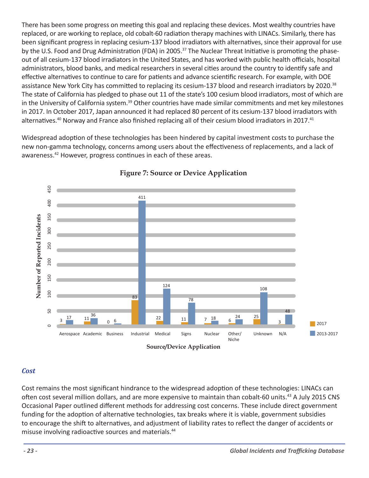There has been some progress on meeting this goal and replacing these devices. Most wealthy countries have replaced, or are working to replace, old cobalt-60 radiation therapy machines with LINACs. Similarly, there has been significant progress in replacing cesium-137 blood irradiators with alternatives, since their approval for use by the U.S. Food and Drug Administration (FDA) in 2005.<sup>37</sup> The Nuclear Threat Initiative is promoting the phaseout of all cesium-137 blood irradiators in the United States, and has worked with public health officials, hospital administrators, blood banks, and medical researchers in several cities around the country to identify safe and effective alternatives to continue to care for patients and advance scientific research. For example, with DOE assistance New York City has committed to replacing its cesium-137 blood and research irradiators by 2020.<sup>38</sup> The state of California has pledged to phase out 11 of the state's 100 cesium blood irradiators, most of which are in the University of California system.<sup>39</sup> Other countries have made similar commitments and met key milestones in 2017. In October 2017, Japan announced it had replaced 80 percent of its cesium-137 blood irradiators with alternatives.<sup>40</sup> Norway and France also finished replacing all of their cesium blood irradiators in 2017.<sup>41</sup>

Widespread adoption of these technologies has been hindered by capital investment costs to purchase the new non-gamma technology, concerns among users about the effectiveness of replacements, and a lack of awareness.<sup>42</sup> However, progress continues in each of these areas.



## **Figure 7: Source or Device Application**

#### *Cost*

Cost remains the most significant hindrance to the widespread adoption of these technologies: LINACs can often cost several million dollars, and are more expensive to maintain than cobalt-60 units.<sup>43</sup> A July 2015 CNS Occasional Paper outlined different methods for addressing cost concerns. These include direct government funding for the adoption of alternative technologies, tax breaks where it is viable, government subsidies to encourage the shift to alternatives, and adjustment of liability rates to reflect the danger of accidents or misuse involving radioactive sources and materials.<sup>44</sup>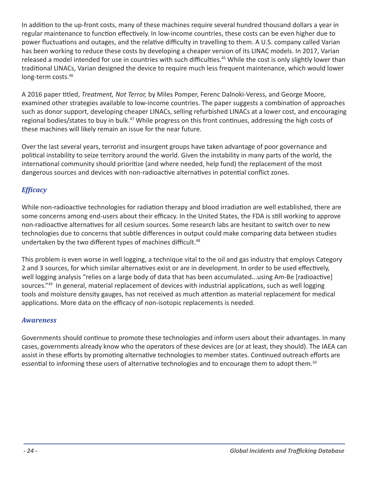In addition to the up-front costs, many of these machines require several hundred thousand dollars a year in regular maintenance to function effectively. In low-income countries, these costs can be even higher due to power fluctuations and outages, and the relative difficulty in travelling to them. A U.S. company called Varian has been working to reduce these costs by developing a cheaper version of its LINAC models. In 2017, Varian released a model intended for use in countries with such difficulties.<sup>45</sup> While the cost is only slightly lower than traditional LINACs, Varian designed the device to require much less frequent maintenance, which would lower long-term costs.<sup>46</sup>

A 2016 paper titled, *Treatment, Not Terror,* by Miles Pomper, Ferenc Dalnoki-Veress, and George Moore, examined other strategies available to low-income countries. The paper suggests a combination of approaches such as donor support, developing cheaper LINACs, selling refurbished LINACs at a lower cost, and encouraging regional bodies/states to buy in bulk.47 While progress on this front continues, addressing the high costs of these machines will likely remain an issue for the near future.

Over the last several years, terrorist and insurgent groups have taken advantage of poor governance and political instability to seize territory around the world. Given the instability in many parts of the world, the international community should prioritize (and where needed, help fund) the replacement of the most dangerous sources and devices with non-radioactive alternatives in potential conflict zones.

## *Efficacy*

While non-radioactive technologies for radiation therapy and blood irradiation are well established, there are some concerns among end-users about their efficacy. In the United States, the FDA is still working to approve non-radioactive alternatives for all cesium sources. Some research labs are hesitant to switch over to new technologies due to concerns that subtle differences in output could make comparing data between studies undertaken by the two different types of machines difficult.<sup>48</sup>

This problem is even worse in well logging, a technique vital to the oil and gas industry that employs Category 2 and 3 sources, for which similar alternatives exist or are in development. In order to be used effectively, well logging analysis "relies on a large body of data that has been accumulated...using Am-Be [radioactive] sources."<sup>49</sup> In general, material replacement of devices with industrial applications, such as well logging tools and moisture density gauges, has not received as much attention as material replacement for medical applications. More data on the efficacy of non-isotopic replacements is needed.

#### *Awareness*

Governments should continue to promote these technologies and inform users about their advantages. In many cases, governments already know who the operators of these devices are (or at least, they should). The IAEA can assist in these efforts by promoting alternative technologies to member states. Continued outreach efforts are essential to informing these users of alternative technologies and to encourage them to adopt them.<sup>50</sup>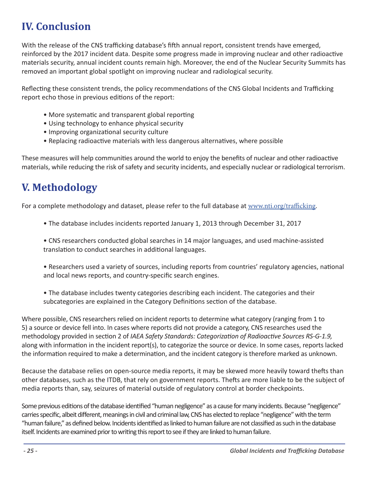# **IV. Conclusion**

With the release of the CNS trafficking database's fifth annual report, consistent trends have emerged, reinforced by the 2017 incident data. Despite some progress made in improving nuclear and other radioactive materials security, annual incident counts remain high. Moreover, the end of the Nuclear Security Summits has removed an important global spotlight on improving nuclear and radiological security.

Reflecting these consistent trends, the policy recommendations of the CNS Global Incidents and Trafficking report echo those in previous editions of the report:

- More systematic and transparent global reporting
- Using technology to enhance physical security
- Improving organizational security culture
- Replacing radioactive materials with less dangerous alternatives, where possible

These measures will help communities around the world to enjoy the benefits of nuclear and other radioactive materials, while reducing the risk of safety and security incidents, and especially nuclear or radiological terrorism.

# **V. Methodology**

For a complete methodology and dataset, please refer to the full database at www.nti.org/trafficking.

- The database includes incidents reported January 1, 2013 through December 31, 2017
- CNS researchers conducted global searches in 14 major languages, and used machine-assisted translation to conduct searches in additional languages.
- Researchers used a variety of sources, including reports from countries' regulatory agencies, national and local news reports, and country-specific search engines.
- The database includes twenty categories describing each incident. The categories and their subcategories are explained in the Category Definitions section of the database.

Where possible, CNS researchers relied on incident reports to determine what category (ranging from 1 to 5) a source or device fell into. In cases where reports did not provide a category, CNS researches used the methodology provided in section 2 of *IAEA Safety Standards: Categorization of Radioactive Sources RS-G-1.9,*  along with information in the incident report(s), to categorize the source or device. In some cases, reports lacked the information required to make a determination, and the incident category is therefore marked as unknown.

Because the database relies on open-source media reports, it may be skewed more heavily toward thefts than other databases, such as the ITDB, that rely on government reports. Thefts are more liable to be the subject of media reports than, say, seizures of material outside of regulatory control at border checkpoints.

Some previous editions of the database identified "human negligence" as a cause for many incidents. Because "negligence" carries specific, albeit different, meanings in civil and criminal law, CNS has elected to replace "negligence" with the term "human failure," as defined below. Incidents identified as linked to human failure are not classified as such in the database itself. Incidents are examined prior to writing this report to see if they are linked to human failure.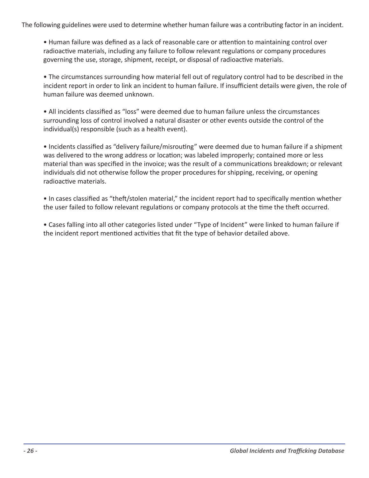The following guidelines were used to determine whether human failure was a contributing factor in an incident.

• Human failure was defined as a lack of reasonable care or attention to maintaining control over radioactive materials, including any failure to follow relevant regulations or company procedures governing the use, storage, shipment, receipt, or disposal of radioactive materials.

• The circumstances surrounding how material fell out of regulatory control had to be described in the incident report in order to link an incident to human failure. If insufficient details were given, the role of human failure was deemed unknown.

• All incidents classified as "loss" were deemed due to human failure unless the circumstances surrounding loss of control involved a natural disaster or other events outside the control of the individual(s) responsible (such as a health event).

• Incidents classified as "delivery failure/misrouting" were deemed due to human failure if a shipment was delivered to the wrong address or location; was labeled improperly; contained more or less material than was specified in the invoice; was the result of a communications breakdown; or relevant individuals did not otherwise follow the proper procedures for shipping, receiving, or opening radioactive materials.

• In cases classified as "theft/stolen material," the incident report had to specifically mention whether the user failed to follow relevant regulations or company protocols at the time the theft occurred.

• Cases falling into all other categories listed under "Type of Incident" were linked to human failure if the incident report mentioned activities that fit the type of behavior detailed above.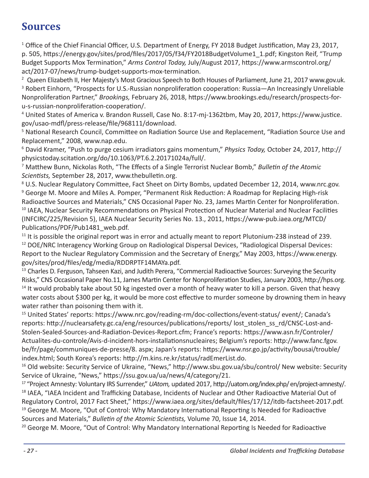# **Sources**

<sup>1</sup> Office of the Chief Financial Officer, U.S. Department of Energy, FY 2018 Budget Justification, May 23, 2017, p. 505, https://energy.gov/sites/prod/files/2017/05/f34/FY2018BudgetVolume1\_1.pdf; Kingston Reif, "Trump Budget Supports Mox Termination," *Arms Control Today,* July/August 2017, https://www.armscontrol.org/ act/2017-07/news/trump-budget-supports-mox-termination.

<sup>2</sup> Queen Elizabeth II, Her Majesty's Most Gracious Speech to Both Houses of Parliament, June 21, 2017 www.gov.uk. <sup>3</sup> Robert Einhorn, "Prospects for U.S.-Russian nonproliferation cooperation: Russia—An Increasingly Unreliable Nonproliferation Partner," *Brookings,* February 26, 2018, https://www.brookings.edu/research/prospects-foru-s-russian-nonproliferation-cooperation/.

4 United States of America v. Brandon Russell, Case No. 8:17-mj-1362tbm, May 20, 2017, https://www.justice. gov/usao-mdfl/press-release/file/968111/download.

<sup>5</sup> National Research Council, Committee on Radiation Source Use and Replacement, "Radiation Source Use and Replacement," 2008, www.nap.edu.

6 David Kramer, "Push to purge cesium irradiators gains momentum," *Physics Today,* October 24, 2017, http:// physicstoday.scitation.org/do/10.1063/PT.6.2.20171024a/full/.

7 Matthew Bunn, Nickolas Roth, "The Effects of a Single Terrorist Nuclear Bomb," *Bulletin of the Atomic Scientists,* September 28, 2017, www.thebulletin.org.

<sup>8</sup> U.S. Nuclear Regulatory Committee, Fact Sheet on Dirty Bombs, updated December 12, 2014, www.nrc.gov. <sup>9</sup> George M. Moore and Miles A. Pomper, "Permanent Risk Reduction: A Roadmap for Replacing High-risk Radioactive Sources and Materials," CNS Occasional Paper No. 23, James Martin Center for Nonproliferation. <sup>10</sup> IAEA, Nuclear Security Recommendations on Physical Protection of Nuclear Material and Nuclear Facilities (INFCIRC/225/Revision 5), IAEA Nuclear Security Series No. 13., 2011, https://www-pub.iaea.org/MTCD/ Publications/PDF/Pub1481\_web.pdf.

 $11$  It is possible the original report was in error and actually meant to report Plutonium-238 instead of 239. <sup>12</sup> DOE/NRC Interagency Working Group on Radiological Dispersal Devices, "Radiological Dispersal Devices: Report to the Nuclear Regulatory Commission and the Secretary of Energy," May 2003, https://www.energy. gov/sites/prod/files/edg/media/RDDRPTF14MAYa.pdf.

<sup>13</sup> Charles D. Ferguson, Tahseen Kazi, and Judith Perera, "Commercial Radioactive Sources: Surveying the Security Risks," CNS Occasional Paper No.11, James Martin Center for Nonproliferation Studies, January 2003, http://hps.org.

<sup>14</sup> It would probably take about 50 kg ingested over a month of heavy water to kill a person. Given that heavy water costs about \$300 per kg, it would be more cost effective to murder someone by drowning them in heavy water rather than poisoning them with it.

<sup>15</sup> United States' reports: https://www.nrc.gov/reading-rm/doc-collections/event-status/ event/; Canada's reports: http://nuclearsafety.gc.ca/eng/resources/publications/reports/ lost\_stolen\_ss\_rd/CNSC-Lost-and-Stolen-Sealed-Sources-and-Radiation-Devices-Report.cfm; France's reports: https://www.asn.fr/Controler/ Actualites-du-controle/Avis-d-incident-hors-installationsnucleaires; Belgium's reports: http://www.fanc.fgov. be/fr/page/communiques-de-presse/8. aspx; Japan's reports: https://www.nsr.go.jp/activity/bousai/trouble/ index.html; South Korea's reports: http://m.kins.re.kr/status/radEmerList.do.

<sup>16</sup> Old website: Security Service of Ukraine, "News," http://www.sbu.gov.ua/sbu/control/ New website: Security Service of Ukraine, "News," https://ssu.gov.ua/ua/news/4/category/21.

17 "Project Amnesty: Voluntary IRS Surrender," *UAtom,* updated 2017, http://uatom.org/index.php/ en/project-amnesty/. <sup>18</sup> IAEA, "IAEA Incident and Trafficking Database, Incidents of Nuclear and Other Radioactive Material Out of Regulatory Control, 2017 Fact Sheet," https://www.iaea.org/sites/default/files/17/12/itdb-factsheet-2017.pdf. <sup>19</sup> George M. Moore, "Out of Control: Why Mandatory International Reporting Is Needed for Radioactive Sources and Materials," *Bulletin of the Atomic Scientists,* Volume 70, Issue 14, 2014.

<sup>20</sup> George M. Moore, "Out of Control: Why Mandatory International Reporting Is Needed for Radioactive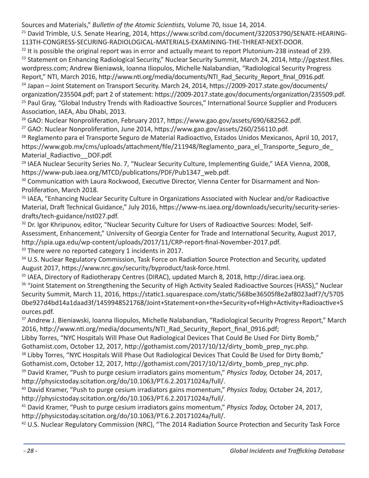Sources and Materials," *Bulletin of the Atomic Scientists,* Volume 70, Issue 14, 2014.

<sup>21</sup> David Trimble, U.S. Senate Hearing, 2014, https://www.scribd.com/document/322053790/SENATE-HEARING-113TH-CONGRESS-SECURING-RADIOLOGICAL-MATERIALS-EXAMINING-THE-THREAT-NEXT-DOOR.

<sup>22</sup> It is possible the original report was in error and actually meant to report Plutonium-238 instead of 239. <sup>23</sup> Statement on Enhancing Radiological Security," Nuclear Security Summit, March 24, 2014, http://pgstest.files. wordpress.com; Andrew Bieniawsk, Ioanna Iliopulos, Michelle Nalabandian, "Radiological Security Progress Report," NTI, March 2016, http://www.nti.org/media/documents/NTI\_Rad\_Security\_Report\_final\_0916.pdf. <sup>24</sup> Japan – Joint Statement on Transport Security. March 24, 2014, https://2009-2017.state.gov/documents/ organization/235504.pdf; part 2 of statement: https://2009-2017.state.gov/documents/organization/235509.pdf. <sup>25</sup> Paul Gray, "Global Industry Trends with Radioactive Sources," International Source Supplier and Producers Association, IAEA, Abu Dhabi, 2013.

<sup>26</sup> GAO: Nuclear Nonproliferation, February 2017, https://www.gao.gov/assets/690/682562.pdf. <sup>27</sup> GAO: Nuclear Nonproliferation, June 2014, https://www.gao.gov/assets/260/256110.pdf.

<sup>28</sup> Reglamento para el Transporte Seguro de Material Radioactivo, Estados Unidos Mexicanos, April 10, 2017, https://www.gob.mx/cms/uploads/attachment/file/211948/Reglamento\_para\_el\_Transporte\_Seguro\_de Material Radiactivo DOF.pdf.

<sup>29</sup> IAEA Nuclear Security Series No. 7, "Nuclear Security Culture, Implementing Guide," IAEA Vienna, 2008, https://www-pub.iaea.org/MTCD/publications/PDF/Pub1347\_web.pdf.

<sup>30</sup> Communication with Laura Rockwood, Executive Director, Vienna Center for Disarmament and Non-Proliferation, March 2018.

<sup>31</sup> IAEA, "Enhancing Nuclear Security Culture in Organizations Associated with Nuclear and/or Radioactive Material, Draft Technical Guidance," July 2016, https://www-ns.iaea.org/downloads/security/security-seriesdrafts/tech-guidance/nst027.pdf.

<sup>32</sup> Dr. Igor Khripunov, editor, "Nuclear Security Culture for Users of Radioactive Sources: Model, Self-Assessment, Enhancement," University of Georgia Center for Trade and International Security, August 2017, http://spia.uga.edu/wp-content/uploads/2017/11/CRP-report-final-November-2017.pdf. <sup>33</sup> There were no reported category 1 incidents in 2017.

<sup>34</sup> U.S. Nuclear Regulatory Commission, Task Force on Radiation Source Protection and Security, updated August 2017, https://www.nrc.gov/security/byproduct/task-force.html.

<sup>35</sup> IAEA, Directory of Radiotherapy Centres (DIRAC), updated March 8, 2018, http://dirac.iaea.org. <sup>36</sup> "Joint Statement on Strengthening the Security of High Activity Sealed Radioactive Sources (HASS)," Nuclear Security Summit, March 11, 2016, https://static1.squarespace.com/static/568be36505f8e2af8023adf7/t/5705 0be927d4bd14a1daad3f/1459948521768/Joint+Statement+on+the+Security+of+High+Activity+Radioactive+S ources.pdf.

<sup>37</sup> Andrew J. Bieniawski, Ioanna Iliopulos, Michelle Nalabandian, "Radiological Security Progress Report," March 2016, http://www.nti.org/media/documents/NTI\_Rad\_Security\_Report\_final\_0916.pdf;

Libby Torres, "NYC Hospitals Will Phase Out Radiological Devices That Could Be Used For Dirty Bomb," Gothamist.com, October 12, 2017, http://gothamist.com/2017/10/12/dirty\_bomb\_prep\_nyc.php.

<sup>38</sup> Libby Torres, "NYC Hospitals Will Phase Out Radiological Devices That Could Be Used for Dirty Bomb," Gothamist.com, October 12, 2017, http://gothamist.com/2017/10/12/dirty\_bomb\_prep\_nyc.php.

39 David Kramer, "Push to purge cesium irradiators gains momentum," *Physics Today,* October 24, 2017, http://physicstoday.scitation.org/do/10.1063/PT.6.2.20171024a/full/.

<sup>40</sup> David Kramer, "Push to purge cesium irradiators gains momentum," *Physics Today,* October 24, 2017, http://physicstoday.scitation.org/do/10.1063/PT.6.2.20171024a/full/.

<sup>41</sup> David Kramer, "Push to purge cesium irradiators gains momentum," *Physics Today,* October 24, 2017, http://physicstoday.scitation.org/do/10.1063/PT.6.2.20171024a/full/.

<sup>42</sup> U.S. Nuclear Regulatory Commission (NRC), "The 2014 Radiation Source Protection and Security Task Force